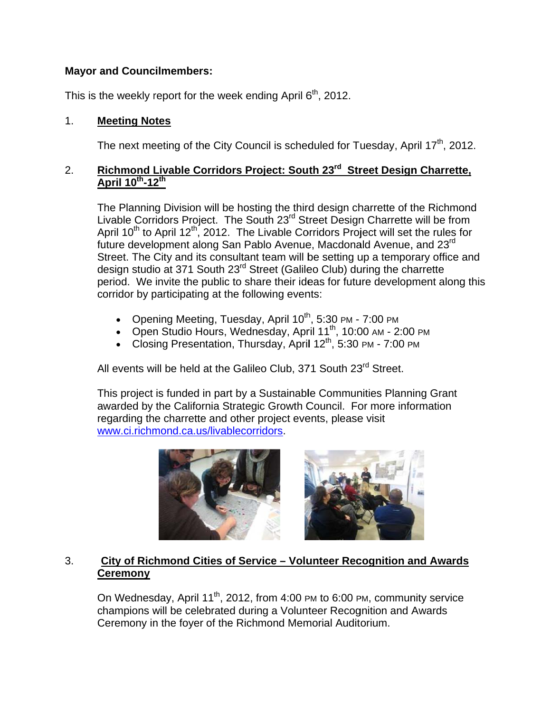# **Mayor and Councilmembers:**

This is the weekly report for the week ending April 6<sup>th</sup>, 2012.

#### $1<sub>1</sub>$ **Meeting Notes**

The next meeting of the City Council is scheduled for Tuesday, April 17<sup>th</sup>, 2012.

#### Richmond Livable Corridors Project: South 23<sup>rd</sup> Street Design Charrette,  $2.$ April 10th-12th

The Planning Division will be hosting the third design charrette of the Richmond Livable Corridors Project. The South 23<sup>rd</sup> Street Design Charrette will be from April 10<sup>th</sup> to April 12<sup>th</sup>, 2012. The Livable Corridors Project will set the rules for future development along San Pablo Avenue, Macdonald Avenue, and 23<sup>rd</sup> Street. The City and its consultant team will be setting up a temporary office and design studio at 371 South 23<sup>rd</sup> Street (Galileo Club) during the charrette period. We invite the public to share their ideas for future development along this corridor by participating at the following events:

- Opening Meeting, Tuesday, April  $10^{th}$ , 5:30 PM 7:00 PM
- Open Studio Hours, Wednesday, April 11<sup>th</sup>, 10:00 AM 2:00 PM
- Closing Presentation, Thursday, April 12<sup>th</sup>, 5:30 PM 7:00 PM

All events will be held at the Galileo Club. 371 South 23<sup>rd</sup> Street.

This project is funded in part by a Sustainable Communities Planning Grant awarded by the California Strategic Growth Council. For more information regarding the charrette and other project events, please visit www.ci.richmond.ca.us/livablecorridors.



#### $3<sub>1</sub>$ City of Richmond Cities of Service - Volunteer Recognition and Awards **Ceremony**

On Wednesday, April 11<sup>th</sup>, 2012, from 4:00 PM to 6:00 PM, community service champions will be celebrated during a Volunteer Recognition and Awards Ceremony in the foyer of the Richmond Memorial Auditorium.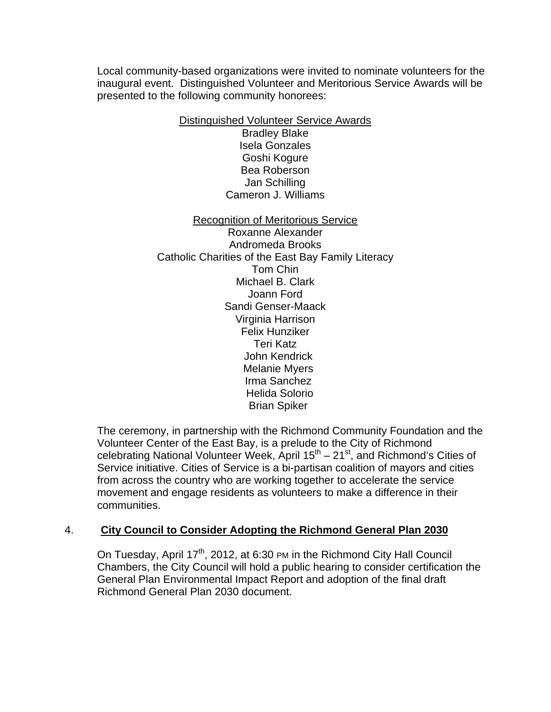Local community-based organizations were invited to nominate volunteers for the inaugural event. Distinguished Volunteer and Meritorious Service Awards will be presented to the following community honorees:

Distinguished Volunteer Service Awards

Bradley Blake Isela Gonzales Goshi Kogure Bea Roberson Jan Schilling Cameron J. Williams

Recognition of Meritorious Service Roxanne Alexander Andromeda Brooks Catholic Charities of the East Bay Family Literacy Tom Chin Michael B. Clark Joann Ford Sandi Genser-Maack Virginia Harrison Felix Hunziker Teri Katz John Kendrick Melanie Myers Irma Sanchez Helida Solorio Brian Spiker

The ceremony, in partnership with the Richmond Community Foundation and the Volunteer Center of the East Bay, is a prelude to the City of Richmond celebrating National Volunteer Week, April  $15<sup>th</sup> - 21<sup>st</sup>$ , and Richmond's Cities of Service initiative. Cities of Service is a bi-partisan coalition of mayors and cities from across the country who are working together to accelerate the service movement and engage residents as volunteers to make a difference in their communities.

# 4. **City Council to Consider Adopting the Richmond General Plan 2030**

On Tuesday, April  $17<sup>th</sup>$ , 2012, at 6:30 PM in the Richmond City Hall Council Chambers, the City Council will hold a public hearing to consider certification the General Plan Environmental Impact Report and adoption of the final draft Richmond General Plan 2030 document.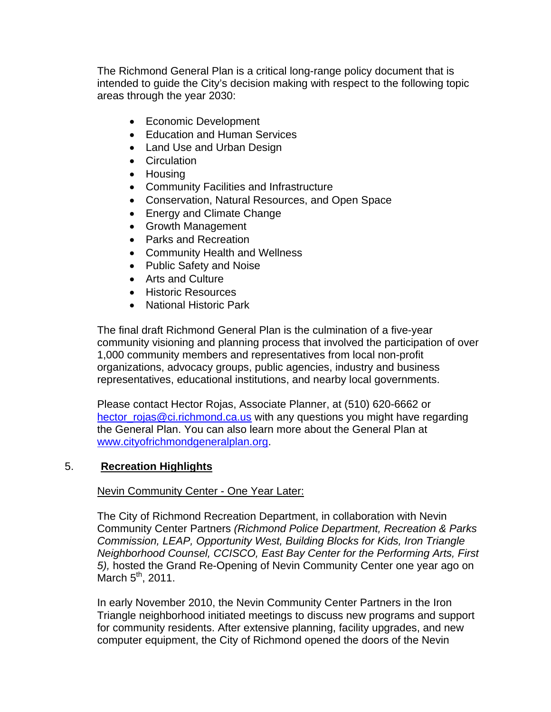The Richmond General Plan is a critical long-range policy document that is intended to guide the City's decision making with respect to the following topic areas through the year 2030:

- Economic Development
- Education and Human Services
- Land Use and Urban Design
- Circulation
- Housing
- Community Facilities and Infrastructure
- Conservation, Natural Resources, and Open Space
- Energy and Climate Change
- Growth Management
- Parks and Recreation
- Community Health and Wellness
- Public Safety and Noise
- Arts and Culture
- Historic Resources
- National Historic Park

The final draft Richmond General Plan is the culmination of a five-year community visioning and planning process that involved the participation of over 1,000 community members and representatives from local non-profit organizations, advocacy groups, public agencies, industry and business representatives, educational institutions, and nearby local governments.

Please contact Hector Rojas, Associate Planner, at (510) 620-6662 or hector rojas@ci.richmond.ca.us with any questions you might have regarding the General Plan. You can also learn more about the General Plan at www.cityofrichmondgeneralplan.org.

## 5. **Recreation Highlights**

## Nevin Community Center - One Year Later:

The City of Richmond Recreation Department, in collaboration with Nevin Community Center Partners *(Richmond Police Department, Recreation & Parks Commission, LEAP, Opportunity West, Building Blocks for Kids, Iron Triangle Neighborhood Counsel, CCISCO, East Bay Center for the Performing Arts, First 5),* hosted the Grand Re-Opening of Nevin Community Center one year ago on March  $5<sup>th</sup>$ , 2011.

In early November 2010, the Nevin Community Center Partners in the Iron Triangle neighborhood initiated meetings to discuss new programs and support for community residents. After extensive planning, facility upgrades, and new computer equipment, the City of Richmond opened the doors of the Nevin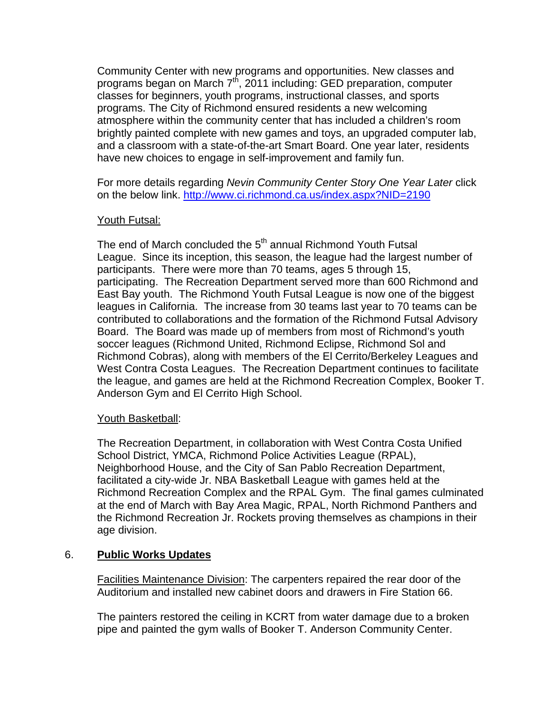Community Center with new programs and opportunities. New classes and programs began on March 7<sup>th</sup>, 2011 including: GED preparation, computer classes for beginners, youth programs, instructional classes, and sports programs. The City of Richmond ensured residents a new welcoming atmosphere within the community center that has included a children's room brightly painted complete with new games and toys, an upgraded computer lab, and a classroom with a state-of-the-art Smart Board. One year later, residents have new choices to engage in self-improvement and family fun.

For more details regarding *Nevin Community Center Story One Year Later* click on the below link. http://www.ci.richmond.ca.us/index.aspx?NID=2190

## Youth Futsal:

The end of March concluded the 5<sup>th</sup> annual Richmond Youth Futsal League. Since its inception, this season, the league had the largest number of participants. There were more than 70 teams, ages 5 through 15, participating. The Recreation Department served more than 600 Richmond and East Bay youth. The Richmond Youth Futsal League is now one of the biggest leagues in California. The increase from 30 teams last year to 70 teams can be contributed to collaborations and the formation of the Richmond Futsal Advisory Board. The Board was made up of members from most of Richmond's youth soccer leagues (Richmond United, Richmond Eclipse, Richmond Sol and Richmond Cobras), along with members of the El Cerrito/Berkeley Leagues and West Contra Costa Leagues. The Recreation Department continues to facilitate the league, and games are held at the Richmond Recreation Complex, Booker T. Anderson Gym and El Cerrito High School.

## Youth Basketball:

The Recreation Department, in collaboration with West Contra Costa Unified School District, YMCA, Richmond Police Activities League (RPAL), Neighborhood House, and the City of San Pablo Recreation Department, facilitated a city-wide Jr. NBA Basketball League with games held at the Richmond Recreation Complex and the RPAL Gym. The final games culminated at the end of March with Bay Area Magic, RPAL, North Richmond Panthers and the Richmond Recreation Jr. Rockets proving themselves as champions in their age division.

## 6. **Public Works Updates**

Facilities Maintenance Division: The carpenters repaired the rear door of the Auditorium and installed new cabinet doors and drawers in Fire Station 66.

The painters restored the ceiling in KCRT from water damage due to a broken pipe and painted the gym walls of Booker T. Anderson Community Center.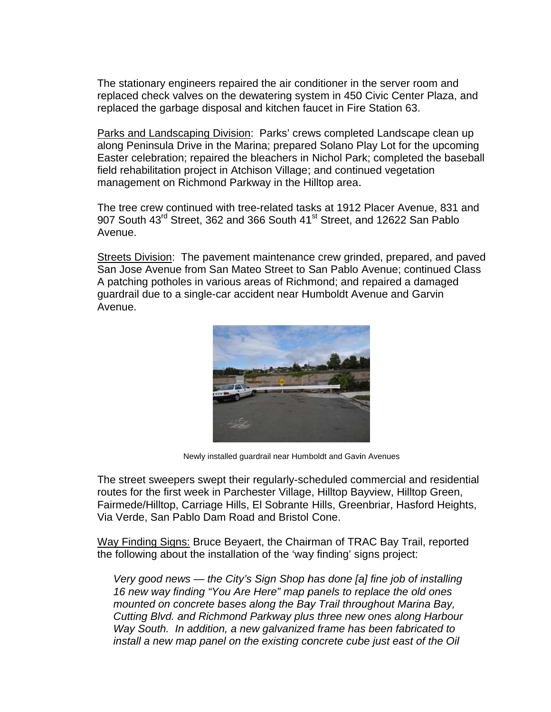The stationary engineers repaired the air conditioner in the server room and replaced check valves on the dewatering system in 450 Civic Center Plaza, and replaced the garbage disposal and kitchen faucet in Fire Station 63.

Parks and Landscaping Division: Parks' crews completed Landscape clean up along Peninsula Drive in the Marina; prepared Solano Play Lot for the upcoming Easter celebration; repaired the bleachers in Nichol Park; completed the baseball field rehabilitation project in Atchison Village; and continued vegetation management on Richmond Parkway in the Hilltop area.

The tree crew continued with tree-related tasks at 1912 Placer Avenue, 831 and 907 South 43rd Street, 362 and 366 South 41<sup>st</sup> Street, and 12622 San Pablo Avenue.

Streets Division: The pavement maintenance crew grinded, prepared, and paved San Jose Avenue from San Mateo Street to San Pablo Avenue: continued Class A patching potholes in various areas of Richmond; and repaired a damaged quardrail due to a single-car accident near Humboldt Avenue and Garvin Avenue.



Newly installed quardrail near Humboldt and Gavin Avenues

The street sweepers swept their regularly-scheduled commercial and residential routes for the first week in Parchester Village, Hilltop Bayview, Hilltop Green, Fairmede/Hilltop, Carriage Hills, El Sobrante Hills, Greenbriar, Hasford Heights, Via Verde, San Pablo Dam Road and Bristol Cone.

Way Finding Signs: Bruce Beyaert, the Chairman of TRAC Bay Trail, reported the following about the installation of the 'way finding' signs project:

Very good news — the City's Sign Shop has done [a] fine job of installing 16 new way finding "You Are Here" map panels to replace the old ones mounted on concrete bases along the Bay Trail throughout Marina Bay. Cutting Blvd. and Richmond Parkway plus three new ones along Harbour Way South. In addition, a new galvanized frame has been fabricated to install a new map panel on the existing concrete cube just east of the Oil